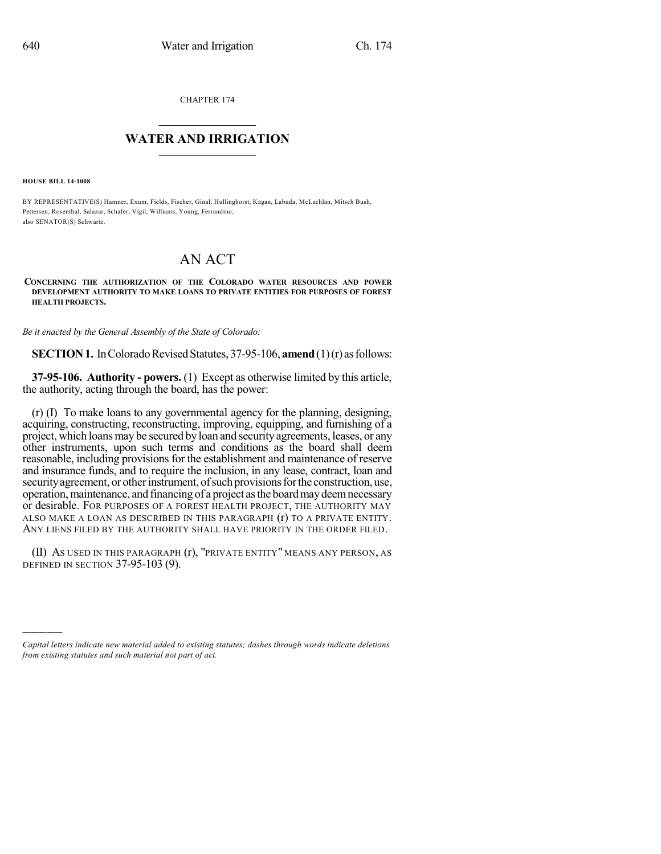CHAPTER 174

## $\mathcal{L}_\text{max}$  . The set of the set of the set of the set of the set of the set of the set of the set of the set of the set of the set of the set of the set of the set of the set of the set of the set of the set of the set **WATER AND IRRIGATION**  $\_$   $\_$

**HOUSE BILL 14-1008**

)))))

BY REPRESENTATIVE(S) Hamner, Exum, Fields, Fischer, Ginal, Hullinghorst, Kagan, Labuda, McLachlan, Mitsch Bush, Pettersen, Rosenthal, Salazar, Schafer, Vigil, Williams, Young, Ferrandino; also SENATOR(S) Schwartz.

## AN ACT

**CONCERNING THE AUTHORIZATION OF THE COLORADO WATER RESOURCES AND POWER DEVELOPMENT AUTHORITY TO MAKE LOANS TO PRIVATE ENTITIES FOR PURPOSES OF FOREST HEALTH PROJECTS.**

*Be it enacted by the General Assembly of the State of Colorado:*

**SECTION 1.** In Colorado Revised Statutes, 37-95-106, **amend** (1)(r) as follows:

**37-95-106. Authority - powers.** (1) Except as otherwise limited by this article, the authority, acting through the board, has the power:

(r) (I) To make loans to any governmental agency for the planning, designing, acquiring, constructing, reconstructing, improving, equipping, and furnishing of a project, which loans may be secured by loan and security agreements, leases, or any other instruments, upon such terms and conditions as the board shall deem reasonable, including provisions for the establishment and maintenance of reserve and insurance funds, and to require the inclusion, in any lease, contract, loan and security agreement, or other instrument, of such provisions for the construction, use, operation,maintenance, and financing of a project asthe boardmaydeemnecessary or desirable. FOR PURPOSES OF A FOREST HEALTH PROJECT, THE AUTHORITY MAY ALSO MAKE A LOAN AS DESCRIBED IN THIS PARAGRAPH (r) TO A PRIVATE ENTITY. ANY LIENS FILED BY THE AUTHORITY SHALL HAVE PRIORITY IN THE ORDER FILED.

(II) AS USED IN THIS PARAGRAPH (r), "PRIVATE ENTITY" MEANS ANY PERSON, AS DEFINED IN SECTION 37-95-103 (9).

*Capital letters indicate new material added to existing statutes; dashes through words indicate deletions from existing statutes and such material not part of act.*